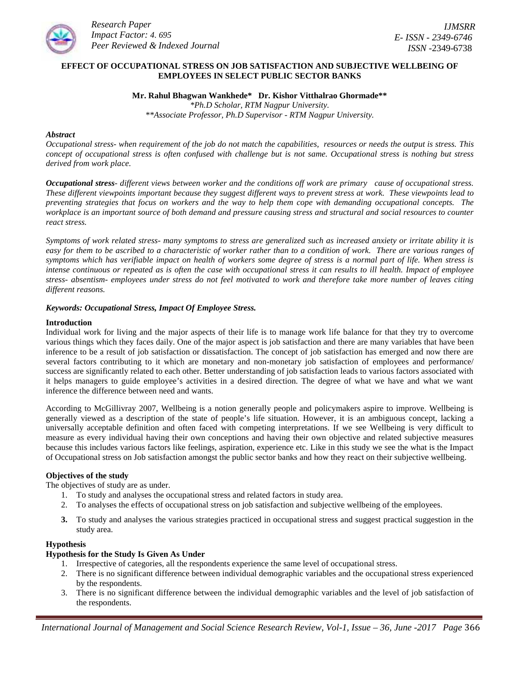

# **EFFECT OF OCCUPATIONAL STRESS ON JOB SATISFACTION AND SUBJECTIVE WELLBEING OF EMPLOYEES IN SELECT PUBLIC SECTOR BANKS**

**Mr. Rahul Bhagwan Wankhede\* Dr. Kishor Vitthalrao Ghormade\*\*** *\*Ph.D Scholar, RTM Nagpur University. \*\*Associate Professor, Ph.D Supervisor - RTM Nagpur University.*

### *Abstract*

*Occupational stress- when requirement of the job do not match the capabilities, resources or needs the output is stress. This concept of occupational stress is often confused with challenge but is not same. Occupational stress is nothing but stress derived from work place.*

*Occupational stress- different views between worker and the conditions off work are primary cause of occupational stress. These different viewpoints important because they suggest different ways to prevent stress at work. These viewpoints lead to preventing strategies that focus on workers and the way to help them cope with demanding occupational concepts. The workplace is an important source of both demand and pressure causing stress and structural and social resources to counter react stress.*

*Symptoms of work related stress- many symptoms to stress are generalized such as increased anxiety or irritate ability it is easy for them to be ascribed to a characteristic of worker rather than to a condition of work. There are various ranges of symptoms which has verifiable impact on health of workers some degree of stress is a normal part of life. When stress is intense continuous or repeated as is often the case with occupational stress it can results to ill health. Impact of employee stress- absentism- employees under stress do not feel motivated to work and therefore take more number of leaves citing different reasons.*

## *Keywords: Occupational Stress, Impact Of Employee Stress.*

#### **Introduction**

Individual work for living and the major aspects of their life is to manage work life balance for that they try to overcome various things which they faces daily. One of the major aspect is job satisfaction and there are many variables that have been inference to be a result of job satisfaction or dissatisfaction. The concept of job satisfaction has emerged and now there are several factors contributing to it which are monetary and non-monetary job satisfaction of employees and performance/ success are significantly related to each other. Better understanding of job satisfaction leads to various factors associated with it helps managers to guide employee's activities in a desired direction. The degree of what we have and what we want inference the difference between need and wants.

According to McGillivray 2007, Wellbeing is a notion generally people and policymakers aspire to improve. Wellbeing is generally viewed as a description of the state of people's life situation. However, it is an ambiguous concept, lacking a universally acceptable definition and often faced with competing interpretations. If we see Wellbeing is very difficult to measure as every individual having their own conceptions and having their own objective and related subjective measures because this includes various factors like feelings, aspiration, experience etc. Like in this study we see the what is the Impact of Occupational stress on Job satisfaction amongst the public sector banks and how they react on their subjective wellbeing.

# **Objectives of the study**

The objectives of study are as under.

- 1. To study and analyses the occupational stress and related factors in study area.
- 2. To analyses the effects of occupational stress on job satisfaction and subjective wellbeing of the employees.
- **3.** To study and analyses the various strategies practiced in occupational stress and suggest practical suggestion in the study area.

### **Hypothesis**

#### **Hypothesis for the Study Is Given As Under**

- 1. Irrespective of categories, all the respondents experience the same level of occupational stress.
- 2. There is no significant difference between individual demographic variables and the occupational stress experienced by the respondents.
- 3. There is no significant difference between the individual demographic variables and the level of job satisfaction of the respondents.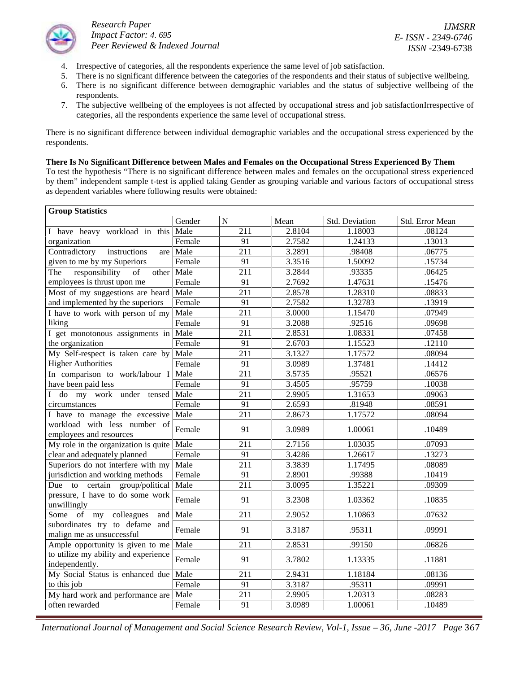

*IJMSRR E- ISSN - 2349-6746 ISSN -*2349-6738

- 4. Irrespective of categories, all the respondents experience the same level of job satisfaction.
- 5. There is no significant difference between the categories of the respondents and their status of subjective wellbeing.
- 6. There is no significant difference between demographic variables and the status of subjective wellbeing of the respondents.
- 7. The subjective wellbeing of the employees is not affected by occupational stress and job satisfactionIrrespective of categories, all the respondents experience the same level of occupational stress.

There is no significant difference between individual demographic variables and the occupational stress experienced by the respondents.

## **There Is No Significant Difference between Males and Females on the Occupational Stress Experienced By Them**

To test the hypothesis "There is no significant difference between males and females on the occupational stress experienced by them" independent sample t-test is applied taking Gender as grouping variable and various factors of occupational stress as dependent variables where following results were obtained:

| <b>Group Statistics</b>                                     |        |             |        |                |                 |
|-------------------------------------------------------------|--------|-------------|--------|----------------|-----------------|
|                                                             | Gender | $\mathbf N$ | Mean   | Std. Deviation | Std. Error Mean |
| I have heavy workload in this                               | Male   | 211         | 2.8104 | 1.18003        | .08124          |
| organization                                                | Female | 91          | 2.7582 | 1.24133        | .13013          |
| instructions<br>Contradictory<br>are                        | Male   | 211         | 3.2891 | .98408         | .06775          |
| given to me by my Superiors                                 | Female | 91          | 3.3516 | 1.50092        | .15734          |
| responsibility<br>The<br>of<br>other                        | Male   | 211         | 3.2844 | .93335         | .06425          |
| employees is thrust upon me                                 | Female | 91          | 2.7692 | 1.47631        | .15476          |
| Most of my suggestions are heard                            | Male   | 211         | 2.8578 | 1.28310        | .08833          |
| and implemented by the superiors                            | Female | 91          | 2.7582 | 1.32783        | .13919          |
| I have to work with person of my                            | Male   | 211         | 3.0000 | 1.15470        | .07949          |
| liking                                                      | Female | 91          | 3.2088 | .92516         | .09698          |
| I get monotonous assignments in                             | Male   | 211         | 2.8531 | 1.08331        | .07458          |
| the organization                                            | Female | 91          | 2.6703 | 1.15523        | .12110          |
| My Self-respect is taken care by                            | Male   | 211         | 3.1327 | 1.17572        | .08094          |
| <b>Higher Authorities</b>                                   | Female | 91          | 3.0989 | 1.37481        | .14412          |
| In comparison to work/labour I                              | Male   | 211         | 3.5735 | .95521         | .06576          |
| have been paid less                                         | Female | 91          | 3.4505 | .95759         | .10038          |
| I do my work under tensed                                   | Male   | 211         | 2.9905 | 1.31653        | .09063          |
| circumstances                                               | Female | 91          | 2.6593 | .81948         | .08591          |
| I have to manage the excessive                              | Male   | 211         | 2.8673 | 1.17572        | .08094          |
| workload with less number of<br>employees and resources     | Female | 91          | 3.0989 | 1.00061        | .10489          |
| My role in the organization is quite                        | Male   | 211         | 2.7156 | 1.03035        | .07093          |
| clear and adequately planned                                | Female | 91          | 3.4286 | 1.26617        | .13273          |
| Superiors do not interfere with my                          | Male   | 211         | 3.3839 | 1.17495        | .08089          |
| jurisdiction and working methods                            | Female | 91          | 2.8901 | .99388         | .10419          |
| group/political<br>Due to certain                           | Male   | 211         | 3.0095 | 1.35221        | .09309          |
| pressure, I have to do some work<br>unwillingly             | Female | 91          | 3.2308 | 1.03362        | .10835          |
| Some of my<br>colleagues<br>and                             | Male   | 211         | 2.9052 | 1.10863        | .07632          |
| subordinates try to defame and<br>malign me as unsuccessful | Female | 91          | 3.3187 | .95311         | .09991          |
| Ample opportunity is given to me                            | Male   | 211         | 2.8531 | .99150         | .06826          |
| to utilize my ability and experience<br>independently.      | Female | 91          | 3.7802 | 1.13335        | .11881          |
| My Social Status is enhanced due                            | Male   | 211         | 2.9431 | 1.18184        | .08136          |
| to this job                                                 | Female | 91          | 3.3187 | .95311         | .09991          |
| My hard work and performance are                            | Male   | 211         | 2.9905 | 1.20313        | .08283          |
| often rewarded                                              | Female | 91          | 3.0989 | 1.00061        | .10489          |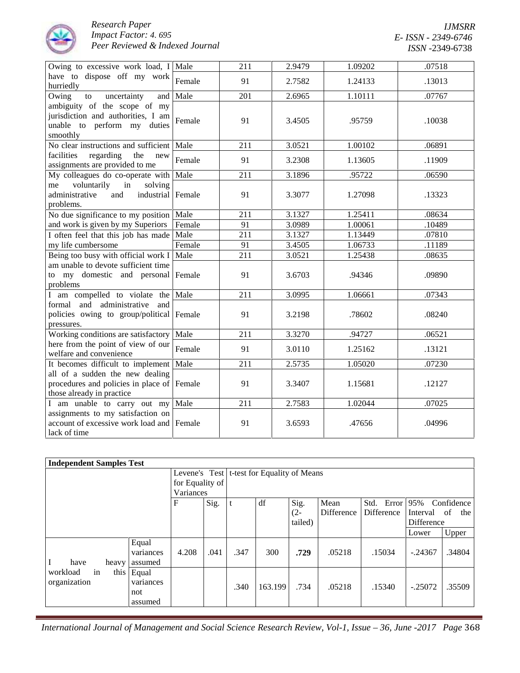

| Owing to excessive work load, I Male                                                                          |        | 211 | 2.9479 | 1.09202 | .07518 |
|---------------------------------------------------------------------------------------------------------------|--------|-----|--------|---------|--------|
| have to dispose off my work<br>hurriedly                                                                      | Female | 91  | 2.7582 | 1.24133 | .13013 |
| Owing<br>and<br>to<br>uncertainty                                                                             | Male   | 201 | 2.6965 | 1.10111 | .07767 |
| ambiguity of the scope of my<br>jurisdiction and authorities, I am<br>unable to perform my duties<br>smoothly | Female | 91  | 3.4505 | .95759  | .10038 |
| No clear instructions and sufficient                                                                          | Male   | 211 | 3.0521 | 1.00102 | .06891 |
| facilities<br>regarding<br>the<br>new<br>assignments are provided to me                                       | Female | 91  | 3.2308 | 1.13605 | .11909 |
| My colleagues do co-operate with Male                                                                         |        | 211 | 3.1896 | .95722  | .06590 |
| voluntarily<br>in<br>solving<br>me<br>administrative<br>and<br>industrial<br>problems.                        | Female | 91  | 3.3077 | 1.27098 | .13323 |
| No due significance to my position                                                                            | Male   | 211 | 3.1327 | 1.25411 | .08634 |
| and work is given by my Superiors                                                                             | Female | 91  | 3.0989 | 1.00061 | .10489 |
| I often feel that this job has made                                                                           | Male   | 211 | 3.1327 | 1.13449 | .07810 |
| my life cumbersome                                                                                            | Female | 91  | 3.4505 | 1.06733 | .11189 |
| Being too busy with official work I                                                                           | Male   | 211 | 3.0521 | 1.25438 | .08635 |
| am unable to devote sufficient time<br>to my domestic and personal<br>problems                                | Female | 91  | 3.6703 | .94346  | .09890 |
| I am compelled to violate the                                                                                 | Male   | 211 | 3.0995 | 1.06661 | .07343 |
| formal and administrative<br>and<br>policies owing to group/political<br>pressures.                           | Female | 91  | 3.2198 | .78602  | .08240 |
| Working conditions are satisfactory                                                                           | Male   | 211 | 3.3270 | .94727  | .06521 |
| here from the point of view of our<br>welfare and convenience                                                 | Female | 91  | 3.0110 | 1.25162 | .13121 |
| It becomes difficult to implement                                                                             | Male   | 211 | 2.5735 | 1.05020 | .07230 |
| all of a sudden the new dealing<br>procedures and policies in place of<br>those already in practice           | Female | 91  | 3.3407 | 1.15681 | .12127 |
| I am unable to carry out my                                                                                   | Male   | 211 | 2.7583 | 1.02044 | .07025 |
| assignments to my satisfaction on<br>account of excessive work load and<br>lack of time                       | Female | 91  | 3.6593 | .47656  | .04996 |

| <b>Independent Samples Test</b>        |                                      |                 |      |      |                                              |                |            |                   |                           |            |
|----------------------------------------|--------------------------------------|-----------------|------|------|----------------------------------------------|----------------|------------|-------------------|---------------------------|------------|
|                                        |                                      |                 |      |      | Levene's Test   t-test for Equality of Means |                |            |                   |                           |            |
|                                        |                                      | for Equality of |      |      |                                              |                |            |                   |                           |            |
|                                        |                                      | Variances       |      |      |                                              |                |            |                   |                           |            |
|                                        |                                      | F               | Sig. |      | df                                           | Sig.           | Mean       | Error<br>Std.     | 95%                       | Confidence |
|                                        |                                      |                 |      |      |                                              | (2-<br>tailed) | Difference | <b>Difference</b> | Interval of<br>Difference | the        |
|                                        |                                      |                 |      |      |                                              |                |            |                   | Lower                     | Upper      |
|                                        | Equal<br>variances                   | 4.208           | .041 | .347 | 300                                          | .729           | .05218     | .15034            | $-.24367$                 | .34804     |
| I<br>have<br>heavy                     | assumed                              |                 |      |      |                                              |                |            |                   |                           |            |
| in<br>workload<br>this<br>organization | Equal<br>variances<br>not<br>assumed |                 |      | .340 | 163.199                                      | .734           | .05218     | .15340            | $-.25072$                 | .35509     |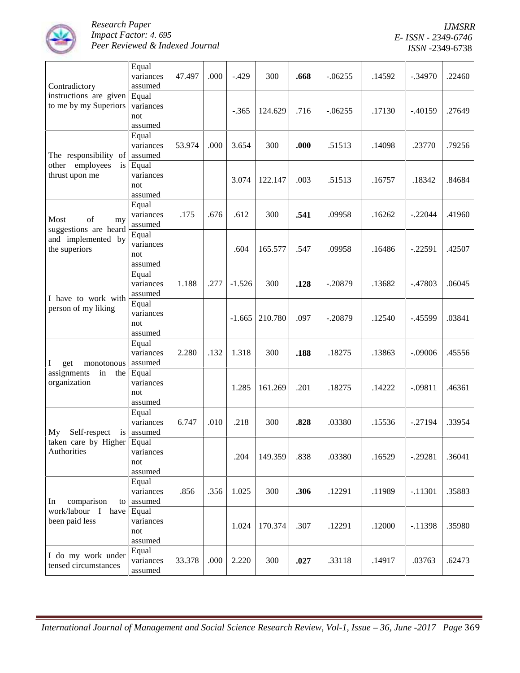

| Contradictory                                                                    | Equal<br>variances<br>assumed        | 47.497 | .000 | $-.429$  | 300     | .668 | $-06255$  | .14592 | $-.34970$ | .22460 |
|----------------------------------------------------------------------------------|--------------------------------------|--------|------|----------|---------|------|-----------|--------|-----------|--------|
| instructions are given<br>to me by my Superiors                                  | Equal<br>variances<br>not<br>assumed |        |      | $-.365$  | 124.629 | .716 | $-.06255$ | .17130 | $-.40159$ | .27649 |
| The responsibility of                                                            | Equal<br>variances<br>assumed        | 53.974 | .000 | 3.654    | 300     | .000 | .51513    | .14098 | .23770    | .79256 |
| other employees<br>$\mathbf{1}$ s<br>thrust upon me                              | Equal<br>variances<br>not<br>assumed |        |      | 3.074    | 122.147 | .003 | .51513    | .16757 | .18342    | .84684 |
| of<br>Most<br>my<br>suggestions are heard<br>and implemented by<br>the superiors | Equal<br>variances<br>assumed        | .175   | .676 | .612     | 300     | .541 | .09958    | .16262 | $-.22044$ | .41960 |
|                                                                                  | Equal<br>variances<br>not<br>assumed |        |      | .604     | 165.577 | .547 | .09958    | .16486 | $-.22591$ | .42507 |
| I have to work with<br>person of my liking                                       | Equal<br>variances<br>assumed        | 1.188  | .277 | $-1.526$ | 300     | .128 | $-.20879$ | .13682 | $-.47803$ | .06045 |
|                                                                                  | Equal<br>variances<br>not<br>assumed |        |      | $-1.665$ | 210.780 | .097 | $-.20879$ | .12540 | $-.45599$ | .03841 |
| Ι<br>get<br>monotonous                                                           | Equal<br>variances<br>assumed        | 2.280  | .132 | 1.318    | 300     | .188 | .18275    | .13863 | $-.09006$ | .45556 |
| assignments<br>in<br>the<br>organization                                         | Equal<br>variances<br>not<br>assumed |        |      | 1.285    | 161.269 | .201 | .18275    | .14222 | $-.09811$ | .46361 |
| Self-respect is assumed<br>My                                                    | Equal<br>variances                   | 6.747  | .010 | .218     | 300     | .828 | .03380    | .15536 | $-.27194$ | .33954 |
| taken care by Higher Equal<br>Authorities                                        | variances<br>not<br>assumed          |        |      | .204     | 149.359 | .838 | .03380    | .16529 | $-.29281$ | .36041 |
| comparison<br>In<br>to<br>work/labour I<br>have<br>been paid less                | Equal<br>variances<br>assumed        | .856   | .356 | 1.025    | 300     | .306 | .12291    | .11989 | $-.11301$ | .35883 |
|                                                                                  | Equal<br>variances<br>not<br>assumed |        |      | 1.024    | 170.374 | .307 | .12291    | .12000 | $-11398$  | .35980 |
| I do my work under<br>tensed circumstances                                       | Equal<br>variances<br>assumed        | 33.378 | .000 | 2.220    | 300     | .027 | .33118    | .14917 | .03763    | .62473 |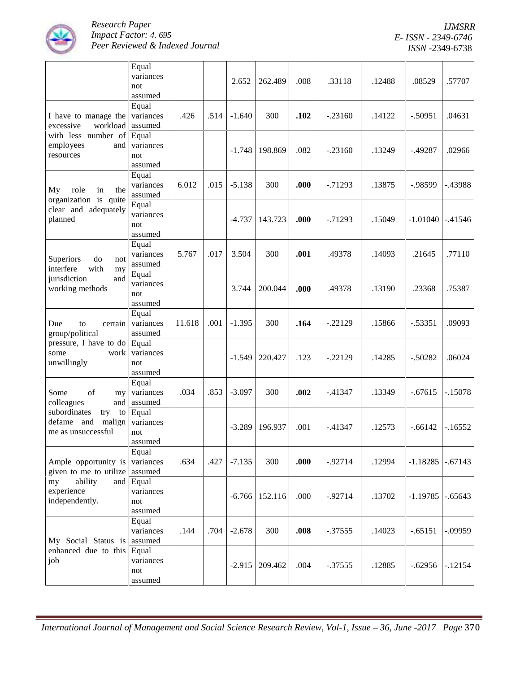

*IJMSRR E- ISSN - 2349-6746 ISSN -*2349-6738

|                                                                         | Equal<br>variances<br>not<br>assumed |        |      | 2.652    | 262.489 | .008 | .33118     | .12488 | .08529     | .57707    |
|-------------------------------------------------------------------------|--------------------------------------|--------|------|----------|---------|------|------------|--------|------------|-----------|
| I have to manage the<br>workload<br>excessive                           | Equal<br>variances<br>assumed        | .426   | .514 | $-1.640$ | 300     | .102 | $-.23160$  | .14122 | $-.50951$  | .04631    |
| with less number of<br>employees<br>and<br>resources                    | Equal<br>variances<br>not<br>assumed |        |      | $-1.748$ | 198.869 | .082 | $-.23160$  | .13249 | $-0.49287$ | .02966    |
| My<br>role<br>in<br>the<br>organization is quite                        | Equal<br>variances<br>assumed        | 6.012  | .015 | $-5.138$ | 300     | .000 | $-0.71293$ | .13875 | -.98599    | $-.43988$ |
| clear and adequately<br>planned                                         | Equal<br>variances<br>not<br>assumed |        |      | $-4.737$ | 143.723 | .000 | $-0.71293$ | .15049 | $-1.01040$ | $-41546$  |
| Superiors<br>do<br>not<br>interfere<br>with<br>my                       | Equal<br>variances<br>assumed        | 5.767  | .017 | 3.504    | 300     | .001 | .49378     | .14093 | .21645     | .77110    |
| jurisdiction<br>and<br>working methods                                  | Equal<br>variances<br>not<br>assumed |        |      | 3.744    | 200.044 | .000 | .49378     | .13190 | .23368     | .75387    |
| Due<br>certain<br>to<br>group/political                                 | Equal<br>variances<br>assumed        | 11.618 | .001 | $-1.395$ | 300     | .164 | $-.22129$  | .15866 | $-.53351$  | .09093    |
| pressure, I have to do<br>some<br>work<br>unwillingly                   | Equal<br>variances<br>not<br>assumed |        |      | $-1.549$ | 220.427 | .123 | $-.22129$  | .14285 | $-.50282$  | .06024    |
| of<br>Some<br>my<br>colleagues<br>and                                   | Equal<br>variances<br>assumed        | .034   | .853 | $-3.097$ | 300     | .002 | $-41347$   | .13349 | $-.67615$  | $-.15078$ |
| subordinates<br>try<br>to<br>defame and<br>malign<br>me as unsuccessful | Equal<br>variances<br>not<br>assumed |        |      | $-3.289$ | 196.937 | .001 | $-41347$   | .12573 | $-.66142$  | $-16552$  |
| Ample opportunity is<br>given to me to utilize                          | Equal<br>variances<br>assumed        | .634   | .427 | $-7.135$ | 300     | .000 | $-0.92714$ | .12994 | $-1.18285$ | $-.67143$ |
| ability<br>and<br>my<br>experience<br>independently.                    | Equal<br>variances<br>not<br>assumed |        |      | $-6.766$ | 152.116 | .000 | $-0.92714$ | .13702 | $-1.19785$ | $-.65643$ |
| My Social Status is                                                     | Equal<br>variances<br>assumed        | .144   | .704 | $-2.678$ | 300     | .008 | $-.37555$  | .14023 | $-.65151$  | $-.09959$ |
| enhanced due to this<br>job                                             | Equal<br>variances<br>not<br>assumed |        |      | $-2.915$ | 209.462 | .004 | $-37555$   | .12885 | $-.62956$  | $-.12154$ |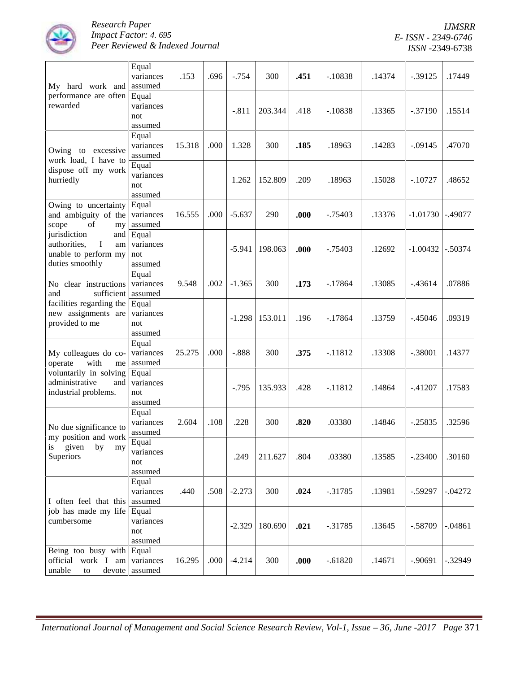

*IJMSRR E- ISSN - 2349-6746 ISSN -*2349-6738

| My hard work and                                                                                | Equal<br>variances<br>assumed        | .153   | .696 | $-.754$  | 300     | .451 | $-.10838$  | .14374 | $-0.39125$ | .17449    |
|-------------------------------------------------------------------------------------------------|--------------------------------------|--------|------|----------|---------|------|------------|--------|------------|-----------|
| performance are often Equal<br>rewarded                                                         | variances<br>not<br>assumed          |        |      | $-.811$  | 203.344 | .418 | $-.10838$  | .13365 | $-.37190$  | .15514    |
| Owing to excessive<br>work load, I have to                                                      | Equal<br>variances<br>assumed        | 15.318 | .000 | 1.328    | 300     | .185 | .18963     | .14283 | $-.09145$  | .47070    |
| dispose off my work<br>hurriedly                                                                | Equal<br>variances<br>not<br>assumed |        |      | 1.262    | 152.809 | .209 | .18963     | .15028 | $-10727$   | .48652    |
| Owing to uncertainty<br>and ambiguity of the<br>scope<br>of<br>my                               | Equal<br>variances<br>assumed        | 16.555 | .000 | $-5.637$ | 290     | .000 | $-0.75403$ | .13376 | $-1.01730$ | $-.49077$ |
| jurisdiction<br>and<br>$\bf I$<br>authorities,<br>am<br>unable to perform my<br>duties smoothly | Equal<br>variances<br>not<br>assumed |        |      | $-5.941$ | 198.063 | .000 | $-0.75403$ | .12692 | $-1.00432$ | $-.50374$ |
| No clear instructions<br>sufficient<br>and                                                      | Equal<br>variances<br>assumed        | 9.548  | .002 | $-1.365$ | 300     | .173 | $-17864$   | .13085 | $-43614$   | .07886    |
| facilities regarding the<br>new assignments are<br>provided to me                               | Equal<br>variances<br>not<br>assumed |        |      | $-1.298$ | 153.011 | .196 | $-17864$   | .13759 | $-45046$   | .09319    |
| My colleagues do co-<br>operate<br>with<br>me                                                   | Equal<br>variances<br>assumed        | 25.275 | .000 | $-.888$  | 300     | .375 | $-11812$   | .13308 | $-.38001$  | .14377    |
| voluntarily in solving<br>administrative<br>and<br>industrial problems.                         | Equal<br>variances<br>not<br>assumed |        |      | $-0.795$ | 135.933 | .428 | $-11812$   | .14864 | $-41207$   | .17583    |
| No due significance to<br>my position and work                                                  | Equal<br>variances<br>assumed        | 2.604  | .108 | .228     | 300     | .820 | .03380     | .14846 | $-.25835$  | .32596    |
| is<br>given<br>by<br>my<br>Superiors                                                            | Equal<br>variances<br>not<br>assumed |        |      | .249     | 211.627 | .804 | .03380     | .13585 | $-.23400$  | .30160    |
| I often feel that this<br>job has made my life<br>cumbersome                                    | Equal<br>variances<br>assumed        | .440   | .508 | $-2.273$ | 300     | .024 | $-.31785$  | .13981 | $-.59297$  | $-.04272$ |
|                                                                                                 | Equal<br>variances<br>not<br>assumed |        |      | $-2.329$ | 180.690 | .021 | $-.31785$  | .13645 | $-.58709$  | $-.04861$ |
| Being too busy with Equal<br>official work I am<br>unable<br>$\mathop{\mathrm{to}}$             | variances<br>devote assumed          | 16.295 | .000 | $-4.214$ | 300     | .000 | $-.61820$  | .14671 | $-0.90691$ | $-.32949$ |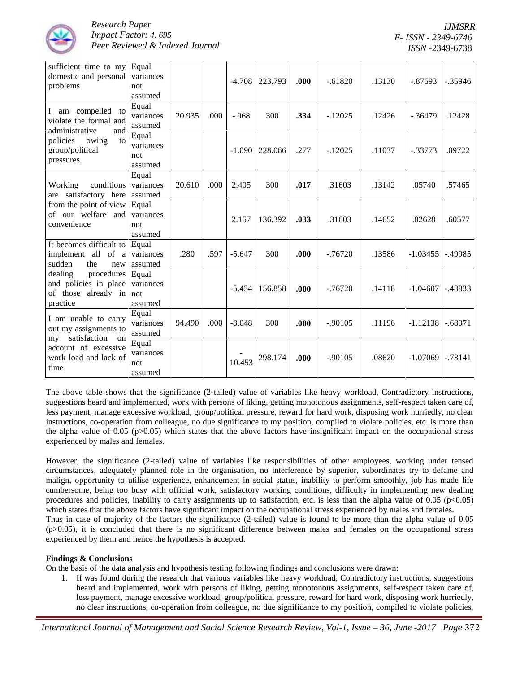

| sufficient time to my<br>domestic and personal<br>problems                                                                      | Equal<br>variances<br>not<br>assumed |        |      | $-4.708$ | 223.793 | .000 | $-.61820$  | .13130 | $-.87693$  | $-.35946$  |
|---------------------------------------------------------------------------------------------------------------------------------|--------------------------------------|--------|------|----------|---------|------|------------|--------|------------|------------|
| I am compelled to<br>violate the formal and                                                                                     | Equal<br>variances<br>assumed        | 20.935 | .000 | $-.968$  | 300     | .334 | $-.12025$  | .12426 | $-0.36479$ | .12428     |
| administrative<br>and<br>policies<br>to<br>owing<br>group/political<br>pressures.                                               | Equal<br>variances<br>not<br>assumed |        |      | $-1.090$ | 228.066 | .277 | $-12025$   | .11037 | $-.33773$  | .09722     |
| conditions<br>Working<br>are satisfactory here                                                                                  | Equal<br>variances<br>assumed        | 20.610 | .000 | 2.405    | 300     | .017 | .31603     | .13142 | .05740     | .57465     |
| from the point of view<br>of our welfare and<br>convenience                                                                     | Equal<br>variances<br>not<br>assumed |        |      | 2.157    | 136.392 | .033 | .31603     | .14652 | .02628     | .60577     |
| It becomes difficult to<br>implement all of a<br>sudden<br>the<br>new                                                           | Equal<br>variances<br>assumed        | .280   | .597 | $-5.647$ | 300     | .000 | $-0.76720$ | .13586 | $-1.03455$ | $-.49985$  |
| dealing<br>procedures<br>and policies in place<br>of those already in<br>practice                                               | Equal<br>variances<br>not<br>assumed |        |      | $-5.434$ | 156.858 | .000 | $-0.76720$ | .14118 | $-1.04607$ | $-0.48833$ |
| I am unable to carry<br>out my assignments to<br>satisfaction on<br>my<br>account of excessive<br>work load and lack of<br>time | Equal<br>variances<br>assumed        | 94.490 | .000 | $-8.048$ | 300     | .000 | $-.90105$  | .11196 | $-1.12138$ | $-.68071$  |
|                                                                                                                                 | Equal<br>variances<br>not<br>assumed |        |      | 10.453   | 298.174 | .000 | $-.90105$  | .08620 | $-1.07069$ | $-0.73141$ |

The above table shows that the significance (2-tailed) value of variables like heavy workload, Contradictory instructions, suggestions heard and implemented, work with persons of liking, getting monotonous assignments, self-respect taken care of, less payment, manage excessive workload, group/political pressure, reward for hard work, disposing work hurriedly, no clear instructions, co-operation from colleague, no due significance to my position, compiled to violate policies, etc. is more than the alpha value of 0.05 ( $p > 0.05$ ) which states that the above factors have insignificant impact on the occupational stress experienced by males and females.

However, the significance (2-tailed) value of variables like responsibilities of other employees, working under tensed circumstances, adequately planned role in the organisation, no interference by superior, subordinates try to defame and malign, opportunity to utilise experience, enhancement in social status, inability to perform smoothly, job has made life cumbersome, being too busy with official work, satisfactory working conditions, difficulty in implementing new dealing procedures and policies, inability to carry assignments up to satisfaction, etc. is less than the alpha value of  $0.05$  (p $<0.05$ ) which states that the above factors have significant impact on the occupational stress experienced by males and females. Thus in case of majority of the factors the significance (2-tailed) value is found to be more than the alpha value of 0.05  $(p>0.05)$ , it is concluded that there is no significant difference between males and females on the occupational stress experienced by them and hence the hypothesis is accepted.

# **Findings & Conclusions**

On the basis of the data analysis and hypothesis testing following findings and conclusions were drawn:

1. If was found during the research that various variables like heavy workload, Contradictory instructions, suggestions heard and implemented, work with persons of liking, getting monotonous assignments, self-respect taken care of, less payment, manage excessive workload, group/political pressure, reward for hard work, disposing work hurriedly, no clear instructions, co-operation from colleague, no due significance to my position, compiled to violate policies,